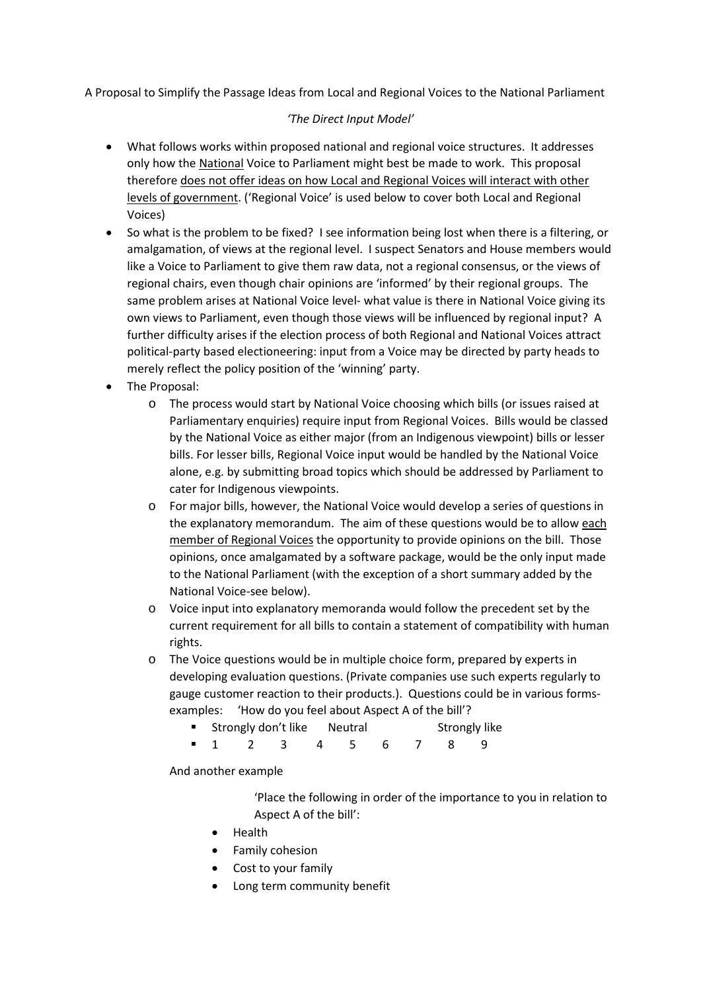A Proposal to Simplify the Passage Ideas from Local and Regional Voices to the National Parliament

## *'The Direct Input Model'*

- What follows works within proposed national and regional voice structures. It addresses only how the National Voice to Parliament might best be made to work. This proposal therefore does not offer ideas on how Local and Regional Voices will interact with other levels of government. ('Regional Voice' is used below to cover both Local and Regional Voices)
- So what is the problem to be fixed? I see information being lost when there is a filtering, or amalgamation, of views at the regional level. I suspect Senators and House members would like a Voice to Parliament to give them raw data, not a regional consensus, or the views of regional chairs, even though chair opinions are 'informed' by their regional groups. The same problem arises at National Voice level- what value is there in National Voice giving its own views to Parliament, even though those views will be influenced by regional input? A further difficulty arises if the election process of both Regional and National Voices attract political-party based electioneering: input from a Voice may be directed by party heads to merely reflect the policy position of the 'winning' party.
- The Proposal:
	- o The process would start by National Voice choosing which bills (or issues raised at Parliamentary enquiries) require input from Regional Voices. Bills would be classed by the National Voice as either major (from an Indigenous viewpoint) bills or lesser bills. For lesser bills, Regional Voice input would be handled by the National Voice alone, e.g. by submitting broad topics which should be addressed by Parliament to cater for Indigenous viewpoints.
	- o For major bills, however, the National Voice would develop a series of questions in the explanatory memorandum. The aim of these questions would be to allow each member of Regional Voices the opportunity to provide opinions on the bill. Those opinions, once amalgamated by a software package, would be the only input made to the National Parliament (with the exception of a short summary added by the National Voice-see below).
	- o Voice input into explanatory memoranda would follow the precedent set by the current requirement for all bills to contain a statement of compatibility with human rights.
	- o The Voice questions would be in multiple choice form, prepared by experts in developing evaluation questions. (Private companies use such experts regularly to gauge customer reaction to their products.). Questions could be in various formsexamples: 'How do you feel about Aspect A of the bill'?
		- **Strongly don't like** Neutral Strongly like
		- 1 2 3 4 5 6 7 8 9

And another example

'Place the following in order of the importance to you in relation to Aspect A of the bill':

- Health
- Family cohesion
- Cost to your family
- Long term community benefit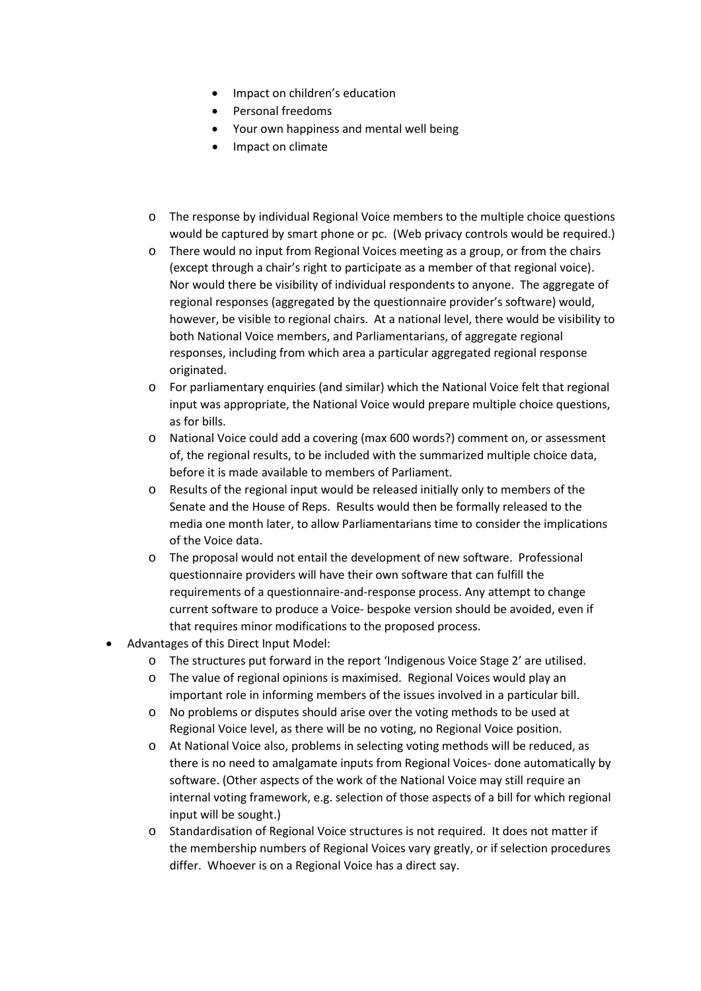- Impact on children's education
- Personal freedoms
- Your own happiness and mental well being
- Impact on climate
- o The response by individual Regional Voice members to the multiple choice questions would be captured by smart phone or pc. (Web privacy controls would be required.)
- o There would no input from Regional Voices meeting as a group, or from the chairs (except through a chair's right to participate as a member of that regional voice). Nor would there be visibility of individual respondents to anyone. The aggregate of regional responses (aggregated by the questionnaire provider's software) would, however, be visible to regional chairs. At a national level, there would be visibility to both National Voice members, and Parliamentarians, of aggregate regional responses, including from which area a particular aggregated regional response originated.
- o For parliamentary enquiries (and similar) which the National Voice felt that regional input was appropriate, the National Voice would prepare multiple choice questions, as for bills.
- o National Voice could add a covering (max 600 words?) comment on, or assessment of, the regional results, to be included with the summarized multiple choice data, before it is made available to members of Parliament.
- o Results of the regional input would be released initially only to members of the Senate and the House of Reps. Results would then be formally released to the media one month later, to allow Parliamentarians time to consider the implications of the Voice data.
- o The proposal would not entail the development of new software. Professional questionnaire providers will have their own software that can fulfill the requirements of a questionnaire-and-response process. Any attempt to change current software to produce a Voice- bespoke version should be avoided, even if that requires minor modifications to the proposed process.
- Advantages of this Direct Input Model:
	- o The structures put forward in the report 'Indigenous Voice Stage 2' are utilised.
	- o The value of regional opinions is maximised. Regional Voices would play an important role in informing members of the issues involved in a particular bill.
	- o No problems or disputes should arise over the voting methods to be used at Regional Voice level, as there will be no voting, no Regional Voice position.
	- o At National Voice also, problems in selecting voting methods will be reduced, as there is no need to amalgamate inputs from Regional Voices- done automatically by software. (Other aspects of the work of the National Voice may still require an internal voting framework, e.g. selection of those aspects of a bill for which regional input will be sought.)
	- o Standardisation of Regional Voice structures is not required. It does not matter if the membership numbers of Regional Voices vary greatly, or if selection procedures differ. Whoever is on a Regional Voice has a direct say.